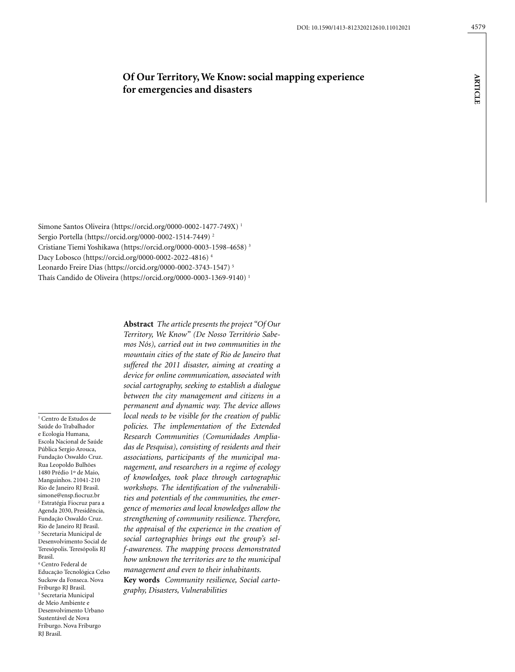# **Of Our Territory, We Know: social mapping experience for emergencies and disasters**

Simone Santos Oliveira ([https://orcid.org/0000-0002-1477-749X\)](https://orcid.org/0000-0002-1477-749X) 1 Sergio Portella [\(https://orcid.org/0000-0002-1514-7449\)](https://orcid.org/0000-0002-1514-7449) 2 Cristiane Tiemi Yoshikawa [\(https://orcid.org/0000-0003-1598-4658](https://orcid.org/0000-0003-1598-4658)) 3 Dacy Lobosco (https://orcid.org/0000-0002-2022-4816) 4 Leonardo Freire Dias (https://orcid.org/0000-0002-3743-1547) 5 Thaís Candido de Oliveira ([https://orcid.org/0000-0003-1369-9140\)](https://orcid.org/0000-0003-1369-9140) 1

1 Centro de Estudos de Saúde do Trabalhador e Ecologia Humana, Escola Nacional de Saúde Pública Sergio Arouca, Fundação Oswaldo Cruz. Rua Leopoldo Bulhões 1480 Prédio 1º de Maio, Manguinhos. 21041-210 Rio de Janeiro RJ Brasil. simone@ensp.fiocruz.br 2 Estratégia Fiocruz para a Agenda 2030, Presidência, Fundação Oswaldo Cruz. Rio de Janeiro RJ Brasil. 3 Secretaria Municipal de Desenvolvimento Social de Teresópolis. Teresópolis RJ Brasil. 4 Centro Federal de Educação Tecnológica Celso Suckow da Fonseca. Nova Friburgo RJ Brasil. 5 Secretaria Municipal de Meio Ambiente e Desenvolvimento Urbano Sustentável de Nova Friburgo. Nova Friburgo RJ Brasil.

**Abstract** *The article presents the project "Of Our Territory, We Know" (De Nosso Território Sabemos Nós), carried out in two communities in the mountain cities of the state of Rio de Janeiro that suffered the 2011 disaster, aiming at creating a device for online communication, associated with social cartography, seeking to establish a dialogue between the city management and citizens in a permanent and dynamic way. The device allows local needs to be visible for the creation of public policies. The implementation of the Extended Research Communities (Comunidades Ampliadas de Pesquisa), consisting of residents and their associations, participants of the municipal management, and researchers in a regime of ecology of knowledges, took place through cartographic workshops. The identification of the vulnerabilities and potentials of the communities, the emergence of memories and local knowledges allow the strengthening of community resilience. Therefore, the appraisal of the experience in the creation of social cartographies brings out the group's self-awareness. The mapping process demonstrated how unknown the territories are to the municipal management and even to their inhabitants.*

**Key words** *Community resilience, Social cartography, Disasters, Vulnerabilities*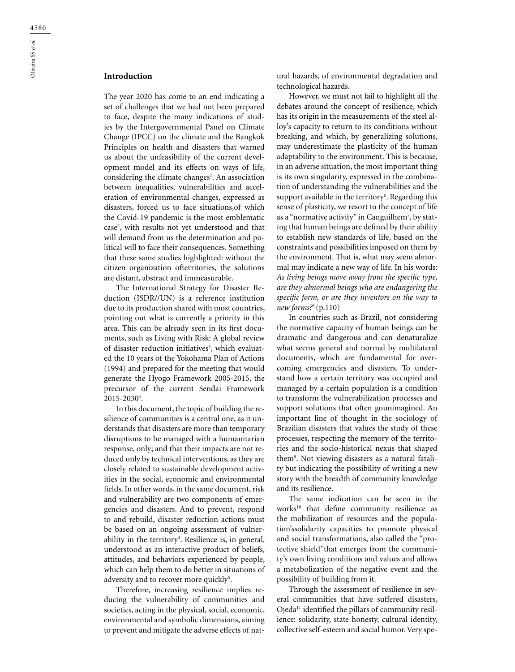# **Introduction**

The year 2020 has come to an end indicating a set of challenges that we had not been prepared to face, despite the many indications of studies by the Intergovernmental Panel on Climate Change (IPCC) on the climate and the Bangkok Principles on health and disasters that warned us about the unfeasibility of the current development model and its effects on ways of life, considering the climate changes<sup>1</sup>. An association between inequalities, vulnerabilities and acceleration of environmental changes, expressed as disasters, forced us to face situations,of which the Covid-19 pandemic is the most emblematic case<sup>2</sup>, with results not yet understood and that will demand from us the determination and political will to face their consequences. Something that these same studies highlighted: without the citizen organization ofterritories, the solutions are distant, abstract and immeasurable.

The International Strategy for Disaster Reduction (ISDR//UN) is a reference institution due to its production shared with most countries, pointing out what is currently a priority in this area. This can be already seen in its first documents, such as Living with Risk: A global review of disaster reduction initiatives<sup>3</sup>, which evaluated the 10 years of the Yokohama Plan of Actions (1994) and prepared for the meeting that would generate the Hyogo Framework 2005-2015, the precursor of the current Sendai Framework  $2015 - 2030<sup>4</sup>$ .

In this document, the topic of building the resilience of communities is a central one, as it understands that disasters are more than temporary disruptions to be managed with a humanitarian response, only; and that their impacts are not reduced only by technical interventions, as they are closely related to sustainable development activities in the social, economic and environmental fields. In other words, in the same document, risk and vulnerability are two components of emergencies and disasters. And to prevent, respond to and rebuild, disaster reduction actions must be based on an ongoing assessment of vulnerability in the territory<sup>3</sup>. Resilience is, in general, understood as an interactive product of beliefs, attitudes, and behaviors experienced by people, which can help them to do better in situations of adversity and to recover more quickly<sup>5</sup>.

Therefore, increasing resilience implies reducing the vulnerability of communities and societies, acting in the physical, social, economic, environmental and symbolic dimensions, aiming to prevent and mitigate the adverse effects of nat-

ural hazards, of environmental degradation and technological hazards.

However, we must not fail to highlight all the debates around the concept of resilience, which has its origin in the measurements of the steel alloy's capacity to return to its conditions without breaking, and which, by generalizing solutions, may underestimate the plasticity of the human adaptability to the environment. This is because, in an adverse situation, the most important thing is its own singularity, expressed in the combination of understanding the vulnerabilities and the support available in the territory $6$ . Regarding this sense of plasticity, we resort to the concept of life as a "normative activity" in Canguilhem7 , by stating that human beings are defined by their ability to establish new standards of life, based on the constraints and possibilities imposed on them by the environment. That is, what may seem abnormal may indicate a new way of life. In his words: *As living beings move away from the specific type, are they abnormal beings who are endangering the specific form, or are they inventors on the way to new forms?*8 (p.110)

In countries such as Brazil, not considering the normative capacity of human beings can be dramatic and dangerous and can denaturalize what seems general and normal by multilateral documents, which are fundamental for overcoming emergencies and disasters. To understand how a certain territory was occupied and managed by a certain population is a condition to transform the vulnerabilization processes and support solutions that often gounimagined. An important line of thought in the sociology of Brazilian disasters that values the study of these processes, respecting the memory of the territories and the socio-historical nexus that shaped them9 . Not viewing disasters as a natural fatality but indicating the possibility of writing a new story with the breadth of community knowledge and its resilience.

The same indication can be seen in the works<sup>10</sup> that define community resilience as the mobilization of resources and the population'ssolidarity capacities to promote physical and social transformations, also called the "protective shield"that emerges from the community's own living conditions and values and allows a metabolization of the negative event and the possibility of building from it.

Through the assessment of resilience in several communities that have suffered disasters, Ojeda11 identified the pillars of community resilience: solidarity, state honesty, cultural identity, collective self-esteem and social humor. Very spe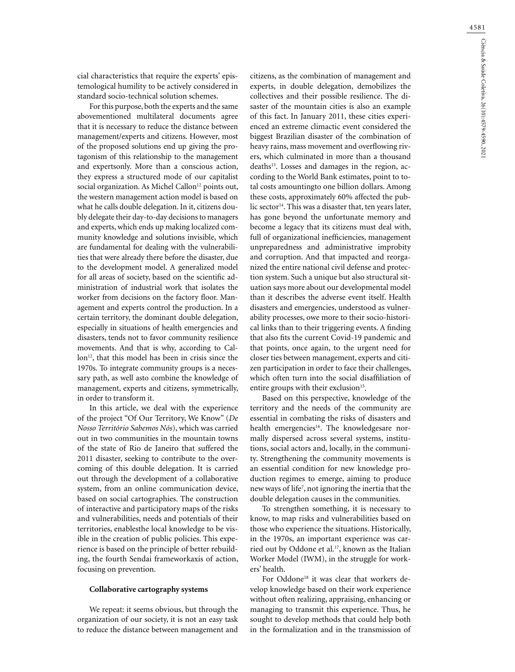cial characteristics that require the experts' epistemological humility to be actively considered in standard socio-technical solution schemes.

For this purpose, both the experts and the same abovementioned multilateral documents agree that it is necessary to reduce the distance between management/experts and citizens. However, most of the proposed solutions end up giving the protagonism of this relationship to the management and expertsonly. More than a conscious action, they express a structured mode of our capitalist social organization. As Michel Callon<sup>12</sup> points out, the western management action model is based on what he calls double delegation. In it, citizens doubly delegate their day-to-day decisions to managers and experts, which ends up making localized community knowledge and solutions invisible, which are fundamental for dealing with the vulnerabilities that were already there before the disaster, due to the development model. A generalized model for all areas of society, based on the scientific administration of industrial work that isolates the worker from decisions on the factory floor. Management and experts control the production. In a certain territory, the dominant double delegation, especially in situations of health emergencies and disasters, tends not to favor community resilience movements. And that is why, according to Callon<sup>12</sup>, that this model has been in crisis since the 1970s. To integrate community groups is a necessary path, as well asto combine the knowledge of management, experts and citizens, symmetrically, in order to transform it.

In this article, we deal with the experience of the project "Of Our Territory, We Know" (*De Nosso Território Sabemos Nós*), which was carried out in two communities in the mountain towns of the state of Rio de Janeiro that suffered the 2011 disaster, seeking to contribute to the overcoming of this double delegation. It is carried out through the development of a collaborative system, from an online communication device, based on social cartographies. The construction of interactive and participatory maps of the risks and vulnerabilities, needs and potentials of their territories, enablesthe local knowledge to be visible in the creation of public policies. This experience is based on the principle of better rebuilding, the fourth Sendai frameworkaxis of action, focusing on prevention.

### **Collaborative cartography systems**

We repeat: it seems obvious, but through the organization of our society, it is not an easy task to reduce the distance between management and citizens, as the combination of management and experts, in double delegation, demobilizes the collectives and their possible resilience. The disaster of the mountain cities is also an example of this fact. In January 2011, these cities experienced an extreme climactic event considered the biggest Brazilian disaster of the combination of heavy rains, mass movement and overflowing rivers, which culminated in more than a thousand deaths<sup>13</sup>. Losses and damages in the region, according to the World Bank estimates, point to total costs amountingto one billion dollars. Among these costs, approximately 60% affected the public sector<sup>14</sup>. This was a disaster that, ten years later, has gone beyond the unfortunate memory and become a legacy that its citizens must deal with, full of organizational inefficiencies, management unpreparedness and administrative improbity and corruption. And that impacted and reorganized the entire national civil defense and protection system. Such a unique but also structural situation says more about our developmental model than it describes the adverse event itself. Health disasters and emergencies, understood as vulnerability processes, owe more to their socio-historical links than to their triggering events. A finding that also fits the current Covid-19 pandemic and that points, once again, to the urgent need for closer ties between management, experts and citizen participation in order to face their challenges, which often turn into the social disaffiliation of entire groups with their exclusion<sup>15</sup>.

Based on this perspective, knowledge of the territory and the needs of the community are essential in combating the risks of disasters and health emergencies<sup>16</sup>. The knowledgesare normally dispersed across several systems, institutions, social actors and, locally, in the community. Strengthening the community movements is an essential condition for new knowledge production regimes to emerge, aiming to produce new ways of life7 , not ignoring the inertia that the double delegation causes in the communities.

To strengthen something, it is necessary to know, to map risks and vulnerabilities based on those who experience the situations. Historically, in the 1970s, an important experience was carried out by Oddone et al.<sup>17</sup>, known as the Italian Worker Model (IWM), in the struggle for workers' health.

For Oddone<sup>18</sup> it was clear that workers develop knowledge based on their work experience without often realizing, appraising, enhancing or managing to transmit this experience. Thus, he sought to develop methods that could help both in the formalization and in the transmission of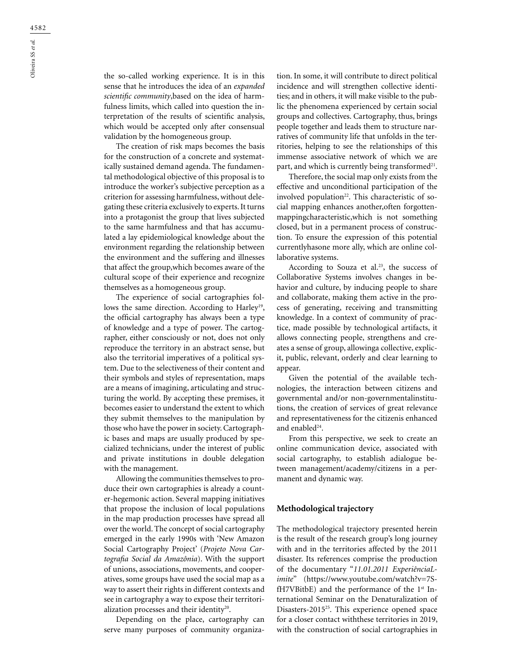the so-called working experience. It is in this sense that he introduces the idea of an *expanded scientific community*,based on the idea of harmfulness limits, which called into question the interpretation of the results of scientific analysis, which would be accepted only after consensual validation by the homogeneous group.

The creation of risk maps becomes the basis for the construction of a concrete and systematically sustained demand agenda. The fundamental methodological objective of this proposal is to introduce the worker's subjective perception as a criterion for assessing harmfulness, without delegating these criteria exclusively to experts. It turns into a protagonist the group that lives subjected to the same harmfulness and that has accumulated a lay epidemiological knowledge about the environment regarding the relationship between the environment and the suffering and illnesses that affect the group,which becomes aware of the cultural scope of their experience and recognize themselves as a homogeneous group.

The experience of social cartographies follows the same direction. According to Harley<sup>19</sup>, the official cartography has always been a type of knowledge and a type of power. The cartographer, either consciously or not, does not only reproduce the territory in an abstract sense, but also the territorial imperatives of a political system. Due to the selectiveness of their content and their symbols and styles of representation, maps are a means of imagining, articulating and structuring the world. By accepting these premises, it becomes easier to understand the extent to which they submit themselves to the manipulation by those who have the power in society. Cartographic bases and maps are usually produced by specialized technicians, under the interest of public and private institutions in double delegation with the management.

Allowing the communities themselves to produce their own cartographies is already a counter-hegemonic action. Several mapping initiatives that propose the inclusion of local populations in the map production processes have spread all over the world. The concept of social cartography emerged in the early 1990s with 'New Amazon Social Cartography Project' (*Projeto Nova Cartografia Social da Amazônia*). With the support of unions, associations, movements, and cooperatives, some groups have used the social map as a way to assert their rights in different contexts and see in cartography a way to expose their territorialization processes and their identity<sup>20</sup>.

Depending on the place, cartography can serve many purposes of community organization. In some, it will contribute to direct political incidence and will strengthen collective identities; and in others, it will make visible to the public the phenomena experienced by certain social groups and collectives. Cartography, thus, brings people together and leads them to structure narratives of community life that unfolds in the territories, helping to see the relationships of this immense associative network of which we are part, and which is currently being transformed<sup>21</sup>.

Therefore, the social map only exists from the effective and unconditional participation of the involved population<sup>22</sup>. This characteristic of social mapping enhances another,often forgottenmappingcharacteristic,which is not something closed, but in a permanent process of construction. To ensure the expression of this potential currentlyhasone more ally, which are online collaborative systems.

According to Souza et al.<sup>23</sup>, the success of Collaborative Systems involves changes in behavior and culture, by inducing people to share and collaborate, making them active in the process of generating, receiving and transmitting knowledge. In a context of community of practice, made possible by technological artifacts, it allows connecting people, strengthens and creates a sense of group, allowinga collective, explicit, public, relevant, orderly and clear learning to appear.

Given the potential of the available technologies, the interaction between citizens and governmental and/or non-governmentalinstitutions, the creation of services of great relevance and representativeness for the citizenis enhanced and enabled<sup>24</sup>.

From this perspective, we seek to create an online communication device, associated with social cartography, to establish adialogue between management/academy/citizens in a permanent and dynamic way.

# **Methodological trajectory**

The methodological trajectory presented herein is the result of the research group's long journey with and in the territories affected by the 2011 disaster. Its references comprise the production of the documentary "*11.01.2011 ExperiênciaLimite*" (https://www.youtube.com/watch?v=7SfH7VBitbE) and the performance of the  $1<sup>st</sup>$  International Seminar on the Denaturalization of Disasters-201525. This experience opened space for a closer contact withthese territories in 2019, with the construction of social cartographies in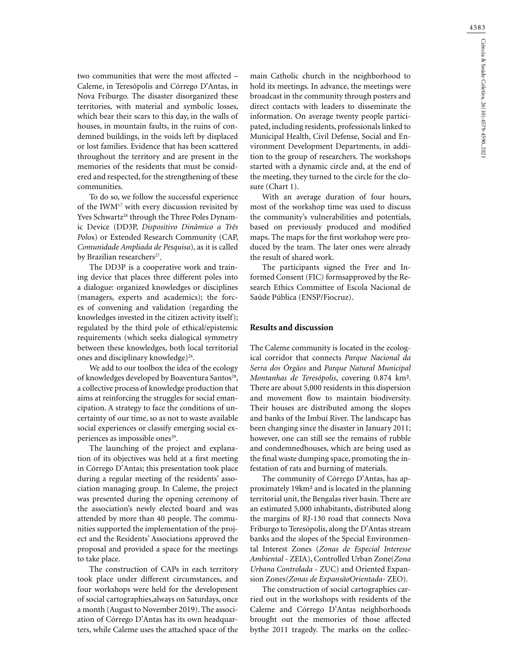two communities that were the most affected – Caleme, in Teresópolis and Córrego D'Antas, in Nova Friburgo. The disaster disorganized these territories, with material and symbolic losses, which bear their scars to this day, in the walls of houses, in mountain faults, in the ruins of condemned buildings, in the voids left by displaced or lost families. Evidence that has been scattered throughout the territory and are present in the memories of the residents that must be considered and respected, for the strengthening of these communities.

To do so, we follow the successful experience of the IWM17 with every discussion revisited by Yves Schwartz<sup>26</sup> through the Three Poles Dynamic Device (DD3P, *Dispositivo Dinâmico a Três Pol*os) or Extended Research Community (CAP, *Comunidade Ampliada de Pesquisa*), as it is called by Brazilian researchers<sup>27</sup>.

The DD3P is a cooperative work and training device that places three different poles into a dialogue: organized knowledges or disciplines (managers, experts and academics); the forces of convening and validation (regarding the knowledges invested in the citizen activity itself); regulated by the third pole of ethical/epistemic requirements (which seeks dialogical symmetry between these knowledges, both local territorial ones and disciplinary knowledge)<sup>26</sup>.

We add to our toolbox the idea of the ecology of knowledges developed by Boaventura Santos<sup>28</sup>, a collective process of knowledge production that aims at reinforcing the struggles for social emancipation. A strategy to face the conditions of uncertainty of our time, so as not to waste available social experiences or classify emerging social experiences as impossible ones<sup>29</sup>.

The launching of the project and explanation of its objectives was held at a first meeting in Córrego D'Antas; this presentation took place during a regular meeting of the residents' association managing group. In Caleme, the project was presented during the opening ceremony of the association's newly elected board and was attended by more than 40 people. The communities supported the implementation of the project and the Residents' Associations approved the proposal and provided a space for the meetings to take place.

The construction of CAPs in each territory took place under different circumstances, and four workshops were held for the development of social cartographies,always on Saturdays, once a month (August to November 2019). The association of Córrego D'Antas has its own headquarters, while Caleme uses the attached space of the main Catholic church in the neighborhood to hold its meetings. In advance, the meetings were broadcast in the community through posters and direct contacts with leaders to disseminate the information. On average twenty people participated, including residents, professionals linked to Municipal Health, Civil Defense, Social and Environment Development Departments, in addition to the group of researchers. The workshops started with a dynamic circle and, at the end of the meeting, they turned to the circle for the closure (Chart 1).

With an average duration of four hours, most of the workshop time was used to discuss the community's vulnerabilities and potentials, based on previously produced and modified maps. The maps for the first workshop were produced by the team. The later ones were already the result of shared work.

The participants signed the Free and Informed Consent (FIC) formsapproved by the Research Ethics Committee of Escola Nacional de Saúde Pública (ENSP/Fiocruz).

### **Results and discussion**

The Caleme community is located in the ecological corridor that connects *Parque Nacional da Serra dos Órgãos* and *Parque Natural Municipal Montanhas de Teresópolis*, covering 0.874 km². There are about 5,000 residents in this dispersion and movement flow to maintain biodiversity. Their houses are distributed among the slopes and banks of the Imbuí River. The landscape has been changing since the disaster in January 2011; however, one can still see the remains of rubble and condemnedhouses, which are being used as the final waste dumping space, promoting the infestation of rats and burning of materials.

The community of Córrego D'Antas, has approximately 19km² and is located in the planning territorial unit, the Bengalas river basin. There are an estimated 5,000 inhabitants, distributed along the margins of RJ-130 road that connects Nova Friburgo to Teresópolis, along the D'Antas stream banks and the slopes of the Special Environmental Interest Zones (*Zonas de Especial Interesse Ambiental* - ZEIA), Controlled Urban Zone(*Zona Urbana Controlada* - ZUC) and Oriented Expansion Zones*(Zonas de ExpansãoOrientada*- ZEO).

The construction of social cartographies carried out in the workshops with residents of the Caleme and Córrego D'Antas neighborhoods brought out the memories of those affected bythe 2011 tragedy. The marks on the collec-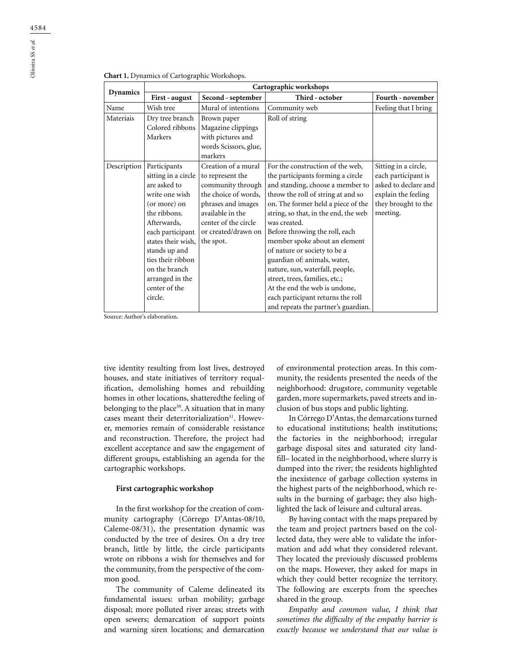| <b>Chart 1.</b> Dynamics of Cartographic Workshops. |  |  |  |
|-----------------------------------------------------|--|--|--|
|-----------------------------------------------------|--|--|--|

| <b>Dynamics</b> | Cartographic workshops                                                                                                                                                                                                                                               |                                                                                                                                                                                            |                                                                                                                                                                                                                                                                                                                                                                                                                                                                                                                                                                    |                                                                                                                               |  |
|-----------------|----------------------------------------------------------------------------------------------------------------------------------------------------------------------------------------------------------------------------------------------------------------------|--------------------------------------------------------------------------------------------------------------------------------------------------------------------------------------------|--------------------------------------------------------------------------------------------------------------------------------------------------------------------------------------------------------------------------------------------------------------------------------------------------------------------------------------------------------------------------------------------------------------------------------------------------------------------------------------------------------------------------------------------------------------------|-------------------------------------------------------------------------------------------------------------------------------|--|
|                 | First - august                                                                                                                                                                                                                                                       | Second - september                                                                                                                                                                         | Third - october                                                                                                                                                                                                                                                                                                                                                                                                                                                                                                                                                    | Fourth - november                                                                                                             |  |
| Name            | Wish tree                                                                                                                                                                                                                                                            | Mural of intentions                                                                                                                                                                        | Community web                                                                                                                                                                                                                                                                                                                                                                                                                                                                                                                                                      | Feeling that I bring                                                                                                          |  |
| Materiais       | Dry tree branch<br>Colored ribbons<br>Markers                                                                                                                                                                                                                        | Brown paper<br>Magazine clippings<br>with pictures and<br>words Scissors, glue,<br>markers                                                                                                 | Roll of string                                                                                                                                                                                                                                                                                                                                                                                                                                                                                                                                                     |                                                                                                                               |  |
| Description     | Participants<br>sitting in a circle<br>are asked to<br>write one wish<br>(or more) on<br>the ribbons.<br>Afterwards,<br>each participant<br>states their wish,<br>stands up and<br>ties their ribbon<br>on the branch<br>arranged in the<br>center of the<br>circle. | Creation of a mural<br>to represent the<br>community through<br>the choice of words,<br>phrases and images<br>available in the<br>center of the circle<br>or created/drawn on<br>the spot. | For the construction of the web,<br>the participants forming a circle<br>and standing, choose a member to<br>throw the roll of string at and so<br>on. The former held a piece of the<br>string, so that, in the end, the web<br>was created.<br>Before throwing the roll, each<br>member spoke about an element<br>of nature or society to be a<br>guardian of: animals, water,<br>nature, sun, waterfall, people,<br>street, trees, families, etc.;<br>At the end the web is undone,<br>each participant returns the roll<br>and repeats the partner's guardian. | Sitting in a circle,<br>each participant is<br>asked to declare and<br>explain the feeling<br>they brought to the<br>meeting. |  |

Source: Author's elaboration.

tive identity resulting from lost lives, destroyed houses, and state initiatives of territory requalification, demolishing homes and rebuilding homes in other locations, shatteredthe feeling of belonging to the place<sup>30</sup>. A situation that in many cases meant their deterritorialization<sup>31</sup>. However, memories remain of considerable resistance and reconstruction. Therefore, the project had excellent acceptance and saw the engagement of different groups, establishing an agenda for the cartographic workshops.

### **First cartographic workshop**

In the first workshop for the creation of community cartography (Córrego D'Antas-08/10, Caleme-08/31), the presentation dynamic was conducted by the tree of desires. On a dry tree branch, little by little, the circle participants wrote on ribbons a wish for themselves and for the community, from the perspective of the common good.

The community of Caleme delineated its fundamental issues: urban mobility; garbage disposal; more polluted river areas; streets with open sewers; demarcation of support points and warning siren locations; and demarcation

of environmental protection areas. In this community, the residents presented the needs of the neighborhood: drugstore, community vegetable garden, more supermarkets, paved streets and inclusion of bus stops and public lighting.

In Córrego D'Antas, the demarcations turned to educational institutions; health institutions; the factories in the neighborhood; irregular garbage disposal sites and saturated city landfill– located in the neighborhood, where slurry is dumped into the river; the residents highlighted the inexistence of garbage collection systems in the highest parts of the neighborhood, which results in the burning of garbage; they also highlighted the lack of leisure and cultural areas.

By having contact with the maps prepared by the team and project partners based on the collected data, they were able to validate the information and add what they considered relevant. They located the previously discussed problems on the maps. However, they asked for maps in which they could better recognize the territory. The following are excerpts from the speeches shared in the group.

*Empathy and common value, I think that sometimes the difficulty of the empathy barrier is exactly because we understand that our value is*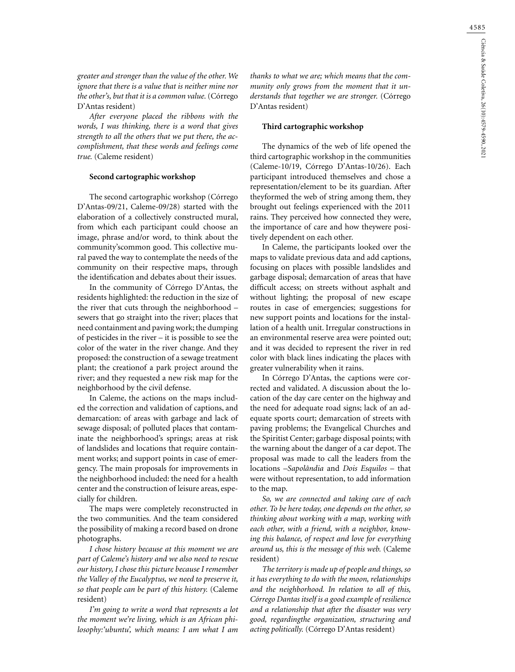*greater and stronger than the value of the other. We ignore that there is a value that is neither mine nor the other's, but that it is a common value.* (Córrego D'Antas resident)

*After everyone placed the ribbons with the words, I was thinking, there is a word that gives strength to all the others that we put there, the accomplishment, that these words and feelings come true.* (Caleme resident)

### **Second cartographic workshop**

The second cartographic workshop (Córrego D'Antas-09/21, Caleme-09/28) started with the elaboration of a collectively constructed mural, from which each participant could choose an image, phrase and/or word, to think about the community'scommon good. This collective mural paved the way to contemplate the needs of the community on their respective maps, through the identification and debates about their issues.

In the community of Córrego D'Antas, the residents highlighted: the reduction in the size of the river that cuts through the neighborhood – sewers that go straight into the river; places that need containment and paving work; the dumping of pesticides in the river – it is possible to see the color of the water in the river change. And they proposed: the construction of a sewage treatment plant; the creationof a park project around the river; and they requested a new risk map for the neighborhood by the civil defense.

In Caleme, the actions on the maps included the correction and validation of captions, and demarcation: of areas with garbage and lack of sewage disposal; of polluted places that contaminate the neighborhood's springs; areas at risk of landslides and locations that require containment works; and support points in case of emergency. The main proposals for improvements in the neighborhood included: the need for a health center and the construction of leisure areas, especially for children.

The maps were completely reconstructed in the two communities. And the team considered the possibility of making a record based on drone photographs.

*I chose history because at this moment we are part of Caleme's history and we also need to rescue our history, I chose this picture because I remember the Valley of the Eucalyptus, we need to preserve it, so that people can be part of this history.* (Caleme resident)

*I'm going to write a word that represents a lot the moment we're living, which is an African philosophy:'ubuntu', which means: I am what I am* 

*thanks to what we are; which means that the community only grows from the moment that it understands that together we are stronger.* (Córrego D'Antas resident)

#### **Third cartographic workshop**

The dynamics of the web of life opened the third cartographic workshop in the communities (Caleme-10/19, Córrego D'Antas-10/26). Each participant introduced themselves and chose a representation/element to be its guardian. After theyformed the web of string among them, they brought out feelings experienced with the 2011 rains. They perceived how connected they were, the importance of care and how theywere positively dependent on each other.

In Caleme, the participants looked over the maps to validate previous data and add captions, focusing on places with possible landslides and garbage disposal; demarcation of areas that have difficult access; on streets without asphalt and without lighting; the proposal of new escape routes in case of emergencies; suggestions for new support points and locations for the installation of a health unit. Irregular constructions in an environmental reserve area were pointed out; and it was decided to represent the river in red color with black lines indicating the places with greater vulnerability when it rains.

In Córrego D'Antas, the captions were corrected and validated. A discussion about the location of the day care center on the highway and the need for adequate road signs; lack of an adequate sports court; demarcation of streets with paving problems; the Evangelical Churches and the Spiritist Center; garbage disposal points; with the warning about the danger of a car depot. The proposal was made to call the leaders from the locations –*Sapolândia* and *Dois Esquilos* – that were without representation, to add information to the map.

*So, we are connected and taking care of each other. To be here today, one depends on the other, so thinking about working with a map, working with each other, with a friend, with a neighbor, knowing this balance, of respect and love for everything around us, this is the message of this web.* (Caleme resident)

*The territory is made up of people and things, so it has everything to do with the moon, relationships and the neighborhood. In relation to all of this, Córrego Dantas itself is a good example of resilience and a relationship that after the disaster was very good, regardingthe organization, structuring and acting politically.* (Córrego D'Antas resident)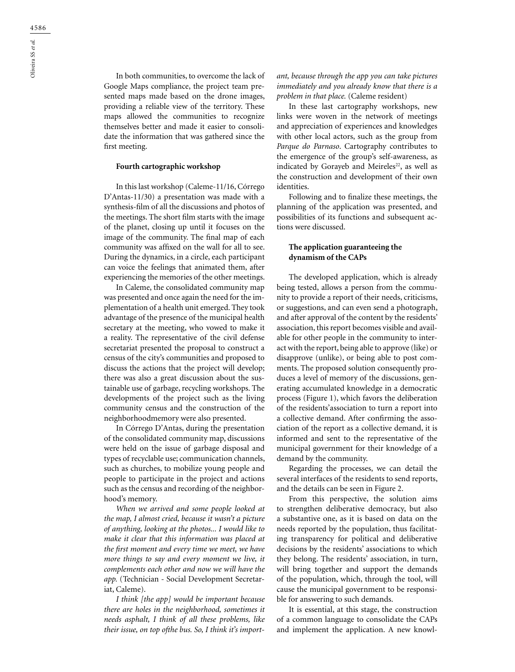In both communities, to overcome the lack of Google Maps compliance, the project team presented maps made based on the drone images, providing a reliable view of the territory. These maps allowed the communities to recognize themselves better and made it easier to consolidate the information that was gathered since the first meeting.

### **Fourth cartographic workshop**

In this last workshop (Caleme-11/16, Córrego D'Antas-11/30) a presentation was made with a synthesis-film of all the discussions and photos of the meetings. The short film starts with the image of the planet, closing up until it focuses on the image of the community. The final map of each community was affixed on the wall for all to see. During the dynamics, in a circle, each participant can voice the feelings that animated them, after experiencing the memories of the other meetings.

In Caleme, the consolidated community map was presented and once again the need for the implementation of a health unit emerged. They took advantage of the presence of the municipal health secretary at the meeting, who vowed to make it a reality. The representative of the civil defense secretariat presented the proposal to construct a census of the city's communities and proposed to discuss the actions that the project will develop; there was also a great discussion about the sustainable use of garbage, recycling workshops. The developments of the project such as the living community census and the construction of the neighborhoodmemory were also presented.

In Córrego D'Antas, during the presentation of the consolidated community map, discussions were held on the issue of garbage disposal and types of recyclable use; communication channels, such as churches, to mobilize young people and people to participate in the project and actions such as the census and recording of the neighborhood's memory.

*When we arrived and some people looked at the map, I almost cried, because it wasn't a picture of anything, looking at the photos... I would like to make it clear that this information was placed at the first moment and every time we meet, we have more things to say and every moment we live, it complements each other and now we will have the app.* (Technician - Social Development Secretariat, Caleme).

*I think [the app] would be important because there are holes in the neighborhood, sometimes it needs asphalt, I think of all these problems, like their issue, on top ofthe bus. So, I think it's import-* *ant, because through the app you can take pictures immediately and you already know that there is a problem in that place.* (Caleme resident)

In these last cartography workshops, new links were woven in the network of meetings and appreciation of experiences and knowledges with other local actors, such as the group from *Parque do Parnaso*. Cartography contributes to the emergence of the group's self-awareness, as indicated by Gorayeb and Meireles<sup>22</sup>, as well as the construction and development of their own identities.

Following and to finalize these meetings, the planning of the application was presented, and possibilities of its functions and subsequent actions were discussed.

### **The application guaranteeing the dynamism of the CAPs**

The developed application, which is already being tested, allows a person from the community to provide a report of their needs, criticisms, or suggestions, and can even send a photograph, and after approval of the content by the residents' association, this report becomes visible and available for other people in the community to interact with the report, being able to approve (like) or disapprove (unlike), or being able to post comments. The proposed solution consequently produces a level of memory of the discussions, generating accumulated knowledge in a democratic process (Figure 1), which favors the deliberation of the residents'association to turn a report into a collective demand. After confirming the association of the report as a collective demand, it is informed and sent to the representative of the municipal government for their knowledge of a demand by the community.

Regarding the processes, we can detail the several interfaces of the residents to send reports, and the details can be seen in Figure 2.

From this perspective, the solution aims to strengthen deliberative democracy, but also a substantive one, as it is based on data on the needs reported by the population, thus facilitating transparency for political and deliberative decisions by the residents' associations to which they belong. The residents' association, in turn, will bring together and support the demands of the population, which, through the tool, will cause the municipal government to be responsible for answering to such demands.

It is essential, at this stage, the construction of a common language to consolidate the CAPs and implement the application. A new knowl-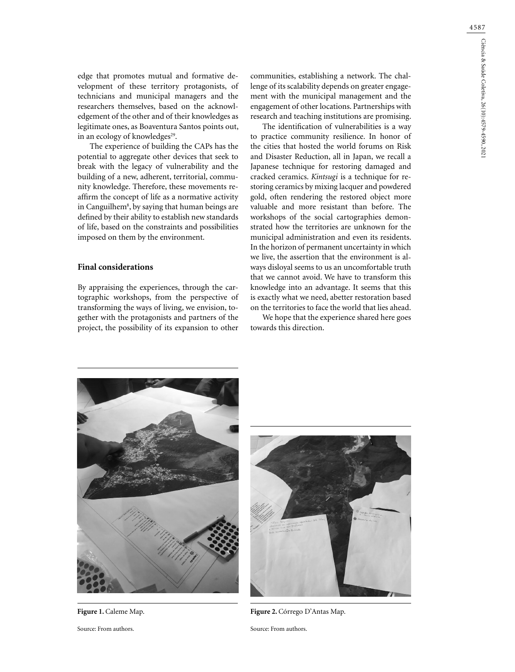4587

edge that promotes mutual and formative development of these territory protagonists, of technicians and municipal managers and the researchers themselves, based on the acknowledgement of the other and of their knowledges as legitimate ones, as Boaventura Santos points out, in an ecology of knowledges $29$ .

The experience of building the CAPs has the potential to aggregate other devices that seek to break with the legacy of vulnerability and the building of a new, adherent, territorial, community knowledge. Therefore, these movements reaffirm the concept of life as a normative activity in Canguilhem8 , by saying that human beings are defined by their ability to establish new standards of life, based on the constraints and possibilities imposed on them by the environment.

# **Final considerations**

By appraising the experiences, through the cartographic workshops, from the perspective of transforming the ways of living, we envision, together with the protagonists and partners of the project, the possibility of its expansion to other

communities, establishing a network. The challenge of its scalability depends on greater engagement with the municipal management and the engagement of other locations. Partnerships with research and teaching institutions are promising.

The identification of vulnerabilities is a way to practice community resilience. In honor of the cities that hosted the world forums on Risk and Disaster Reduction, all in Japan, we recall a Japanese technique for restoring damaged and cracked ceramics. *Kintsugi* is a technique for restoring ceramics by mixing lacquer and powdered gold, often rendering the restored object more valuable and more resistant than before. The workshops of the social cartographies demonstrated how the territories are unknown for the municipal administration and even its residents. In the horizon of permanent uncertainty in which we live, the assertion that the environment is always disloyal seems to us an uncomfortable truth that we cannot avoid. We have to transform this knowledge into an advantage. It seems that this is exactly what we need, abetter restoration based on the territories to face the world that lies ahead.

We hope that the experience shared here goes towards this direction.



Figure 1. Caleme Map.

Source: From authors.



**Figure 2.** Córrego D'Antas Map.

Source: From authors.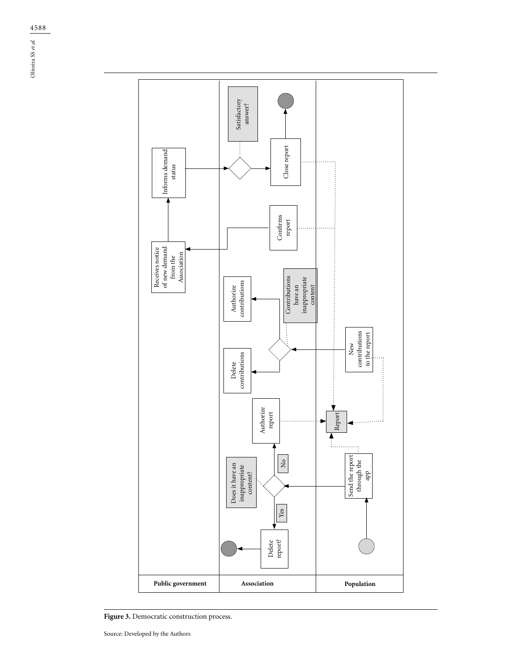$\frac{4588}{\text{N}}$ <br> $\frac{3}{\text{N}}$ Oliveira SS *et al.*



**Figure 3.** Democratic construction process.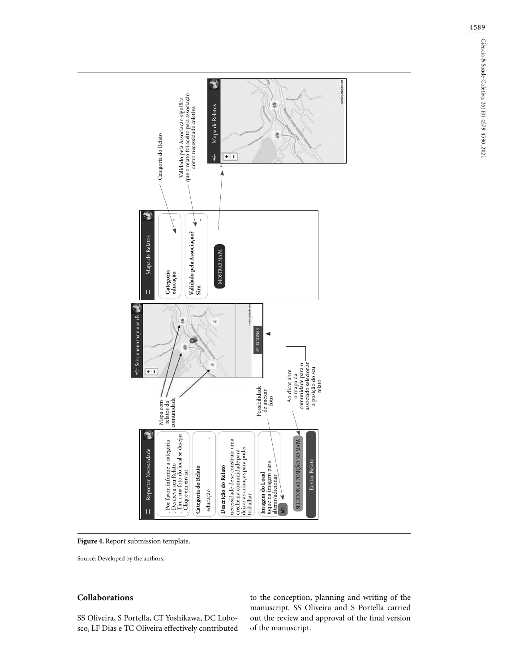

**Figure 4.** Report submission template.

# **Collaborations**

SS Oliveira, S Portella, CT Yoshikawa, DC Lobosco, LF Dias e TC Oliveira effectively contributed to the conception, planning and writing of the manuscript. SS Oliveira and S Portella carried out the review and approval of the final version of the manuscript.